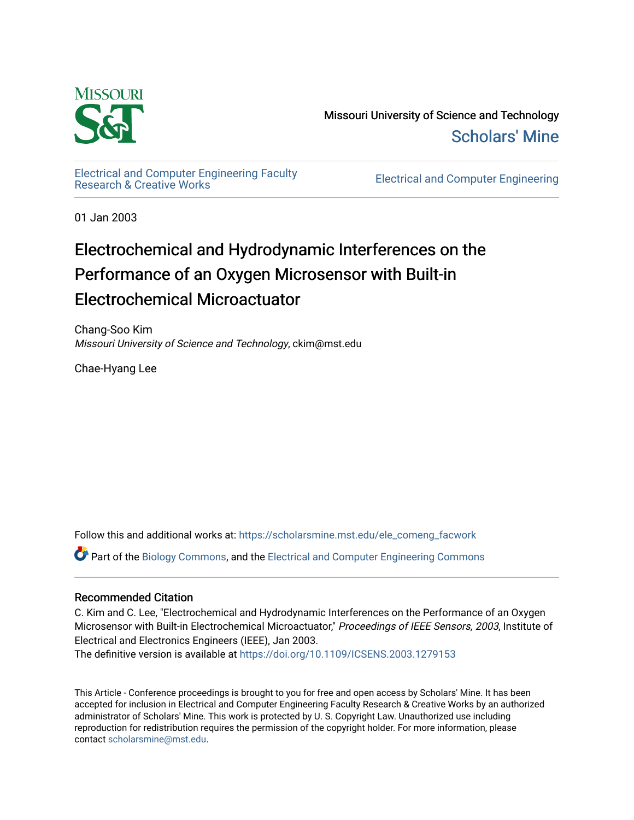

Missouri University of Science and Technology [Scholars' Mine](https://scholarsmine.mst.edu/) 

[Electrical and Computer Engineering Faculty](https://scholarsmine.mst.edu/ele_comeng_facwork)<br>Research & Creative Works

**Electrical and Computer Engineering** 

01 Jan 2003

# Electrochemical and Hydrodynamic Interferences on the Performance of an Oxygen Microsensor with Built-in Electrochemical Microactuator

Chang-Soo Kim Missouri University of Science and Technology, ckim@mst.edu

Chae-Hyang Lee

Follow this and additional works at: [https://scholarsmine.mst.edu/ele\\_comeng\\_facwork](https://scholarsmine.mst.edu/ele_comeng_facwork?utm_source=scholarsmine.mst.edu%2Fele_comeng_facwork%2F1578&utm_medium=PDF&utm_campaign=PDFCoverPages)

Part of the [Biology Commons,](http://network.bepress.com/hgg/discipline/41?utm_source=scholarsmine.mst.edu%2Fele_comeng_facwork%2F1578&utm_medium=PDF&utm_campaign=PDFCoverPages) and the [Electrical and Computer Engineering Commons](http://network.bepress.com/hgg/discipline/266?utm_source=scholarsmine.mst.edu%2Fele_comeng_facwork%2F1578&utm_medium=PDF&utm_campaign=PDFCoverPages)

### Recommended Citation

C. Kim and C. Lee, "Electrochemical and Hydrodynamic Interferences on the Performance of an Oxygen Microsensor with Built-in Electrochemical Microactuator," Proceedings of IEEE Sensors, 2003, Institute of Electrical and Electronics Engineers (IEEE), Jan 2003.

The definitive version is available at <https://doi.org/10.1109/ICSENS.2003.1279153>

This Article - Conference proceedings is brought to you for free and open access by Scholars' Mine. It has been accepted for inclusion in Electrical and Computer Engineering Faculty Research & Creative Works by an authorized administrator of Scholars' Mine. This work is protected by U. S. Copyright Law. Unauthorized use including reproduction for redistribution requires the permission of the copyright holder. For more information, please contact [scholarsmine@mst.edu](mailto:scholarsmine@mst.edu).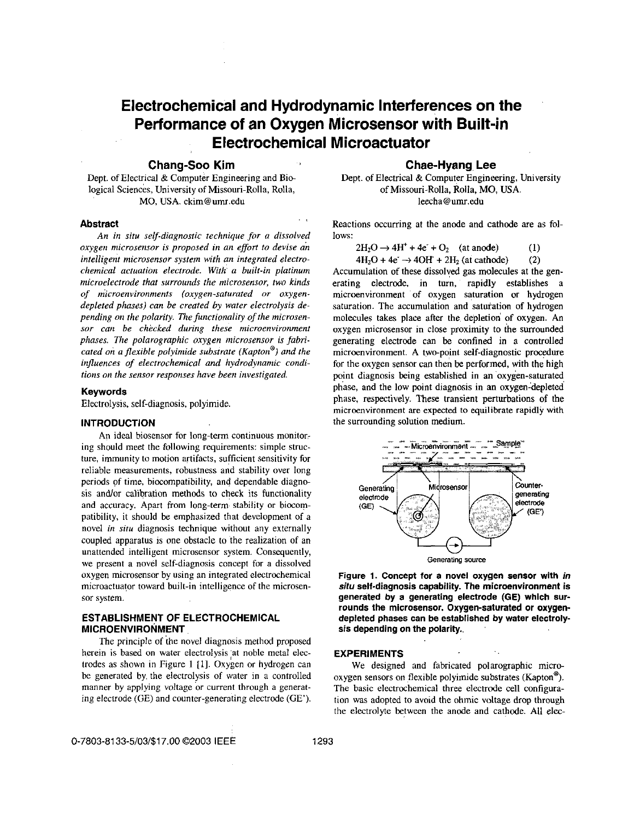# **Electrochemical and Hydrodynamic Interferences on the Performance of an Oxygen Microsensor with Built-in Electrochemical Microactuator**

### **Chang-Soo Kim**

Dept. of Electrical & Computer Engineering and Biological Sciences, University of Missouri-Rolla, Rolla, MO, **USA.** [ckim@unx.edu](mailto:ckim@unx.edu)

## , **Abstract**

*An in situ self-diagnostic technique for a dissolved oxygen microsensor is proposed in an effort to devise an intelligen't microsensor system with an integrated electrochemical actuation electrode. With a built-in platinum microelectrode that surrounds the microsensor, two kinds of microenvironments (oxygen-saturated or oxygendepleted phases) can be creafed by water electrolysis de*pending on the polarity. The functionality of the microsen*sor can be checked during these microenvironment phases. The polarographic oxygen microsensor is fabricated on a flexible polyimide substrate (Kapton") and the influences of electrochemical and hydrodynamic conditions on the sensor responses have been investigated.* 

#### **Keywords**

Electrolysis, self-diagnosis, polyimide

#### **INTRODUCTION**

An ideal biosensor for long-term continuous monitoring should meet the following requirements: simple structure, immunity to motion artifacts, sufficient sensitivity for reliable measurements, robustness and stability over long periods of time, biocompatibility, and dependable diagnosis and/or calibration methods to check its functionality and accuracy. Apart from long-term stability or biocompatibility, it should be emphasized that development of a novel *in situ* diagnosis technique without any externally coupled apparatus is one obstacle to the realization of an unattended intelligent microsensor system. Consequently, we present a novel self-diagnosis concept for a dissolved oxygen microsensor by using an integrated electrochemical microactuator toward built-in intelligence of the microsensor system.

#### **ESTABLISHMENT OF ELECTROCHEMICAL MICROENVIRONMENT**

The principle of the novel diagnosis method proposed herein **is** based on water electrolysis at noble metal electrodes as shown in Figure *1* [l]. Oxygen or hydrogen can be generated by. the electrolysis of water in a controlled manner by applying voltage **or** current through a generating electrode *(GE)* and counter-generating electrode (GE').

#### **Chae-Hyang. Lee**

Dept. of Electrical & Computer Engineering, University of Missouri-Rolla, Rolla, MO, USA. [leecha@umr.edu](mailto:leecha@umr.edu)

Reactions occurring at the anode and cathode are as follows:

$$
2H_2O \rightarrow 4H^+ + 4e^+ + O_2 \quad \text{(at anode)} \tag{1}
$$
  

$$
4H_2O + 4e^+ \rightarrow 4OH^+ + 2H_2 \text{ (at cathode)} \tag{2}
$$

Accumulation of these dissolved gas molecules at the generating electrode, in turn, rapidly establishes a microenvironment of oxygen saturation or hydrogen saturation. The accumulation and saturation of hydrogen molecules takes place after the depletion of oxygen. An oxygen microsensor in close proximity to the surrounded generating electrode can be confined in a controlled microenvironment. A two-point self-diagnostic procedure for the oxygen sensor can then be performed, with the high point diagnosis being established in an oxygen-saturated phase, and the low point diagnosis in an oxygen-depleted phase, respectively. These transient perturbations of the microenvironment are expected to equilibrate rapidly with the surrounding solution medium.



**Figure 1. Concept for a novel oxygen sensor with** *in situ* **self-diagnosis capability. The microenvironment is generated by a generating electrode (GE) which surrounds the microsensor. Oxygen-saturated or oxygendepleted phases can be established by water electrolysis depending on the polarity..** 

#### **EXPERIMENTS**

We designed and fabricated polarographic microoxygen sensors on flexible polyimide substrates (Kapton<sup>®</sup>). The basic electrochemical three electrode cell configuration was adopted to avoid the ohmic voltage drop through the electrolyte between the anode and cathode. All elec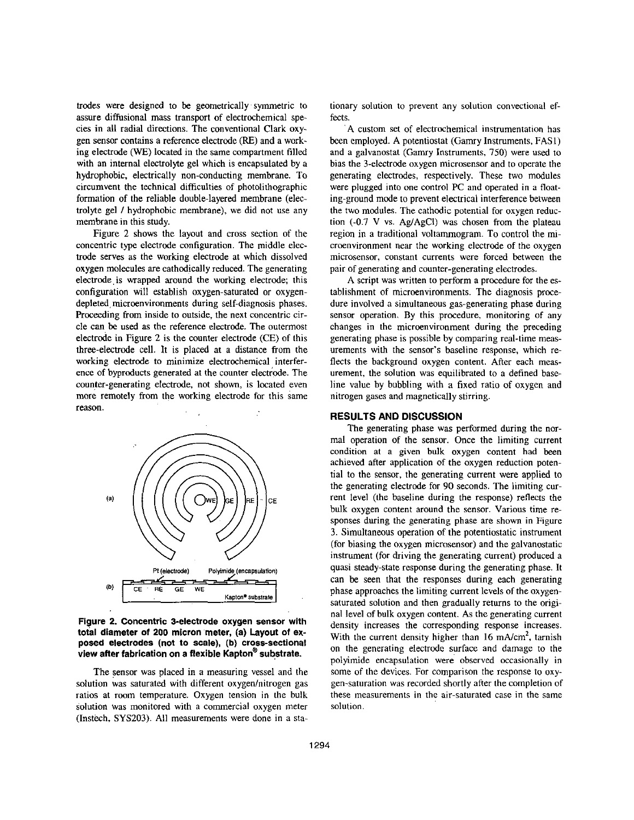*trodes* were designed to be geometrically symmetric to assure diffusional mass transport of electrochemical species in **all** radial directions. The conventional Clark oxygen sensor contains a reference electrode (RE) and a working electrode (WE) located in the same compartment tilled with an internal electrolyte gel which is encapsulated by a hydrophobic, electrically non-conducting membrane. To circumvent the technical difficulties of photolithographic formation of the reliable double-layered membrane (electrolyte gel I hydrophobic membrane), we did not use any membrane in this study.

Figure 2 shows the layout and cross section of the concentric type electrode configuration. The middle electrode serves as the working electrode at which dissolved oxygen molecules are cathodically reduced. The generating electrode, is wrapped around the working electrode; this configuration will establish oxygen-saturated or oxygendepleted, microenvironments during self-diagnosis phases. Proceeding from inside to outside, the next concentric circle can be used as the reference electrode. The outermost electrode in Figure 2 is the counter electrode (CE) of this three-electrode cell. It is placed at a distance from the working electrode to minimize electrochemical interference of byproducts generated at the counter electrode. The counter-generating electrode, not shown, is located even more remotely from the working electrode **for** this same reason.



**Figure 2. Concentric 3-electrode oxygen sensor with total diameter of 200 micron meter, (a) Layout of exposed electrodes (not to scale), (b) cross-sectional view after fabrication on a flexible Kapton@ substrate.** 

The sensor was placed in a measuring vessel and the solution was saturated with different oxygen/nitrogen gas ratios at room temperature. Oxygen tension in the bulk solution was monitored with a commercial oxygen meter (Instech, SYS203). All measurements were done in a stationary solution to prevent any solution convectional effects.

A custom set of electrochemical instrumentation has been employed. **A** potentiostat (Gamry Instruments, FAS1) and a galvanostat (Gamry Instruments, 750) were used to bias the 3-electrode oxygen microsensor and to operate the generating electrodes, respectively. These two modules were plugged into one control PC and operated in a floating-ground mode to prevent electrical interference between the two modules. The cathodic potential for oxygen reduction (-0.7 V vs. Ag/AgCl) was chosen from the plateau region in a traditional voltammogram. To control the microenvironment near the working electrode of the oxygen microsensor, constant currents were forced between the pair of generating and counter-generating electrodes.

**A** script was written to perform a procedure for the establishment of microenvironments. The diagnosis procedure involved a simultaneous gas-generating phase during sensor operation. By this procedure, monitoring of any changes in the microenvironment during the preceding generating phase **is** possible by comparing real-time measurements with the sensor's baseline response, which reflects the background oxygen content. After each measurement, the solution was equilibrated to a defined baseline value by bubbling with a fixed ratio of oxygen and nitrogen gases and magnetically stirring.

#### **RESULTS AND DISCUSSION**

The generating phase was performed during the normal operation of the sensor. Once the limiting current condition at a given bulk oxygen content had been achieved after application of the oxygen reduction potential to the sensor, the generating current were applied to the generating electrode for 90 seconds. The limiting current level (the baseline during the response) reflects the bulk oxygen content around the sensor. Various time responses during the generating phase are shown in [Figure](#page-3-0) **[3.](#page-3-0)** Simultaneous operation of the potentiostatic instrument (for biasing the oxygen microsensor) and the galvanostatic instrument (for driving the generating current) produced a quasi steady-state response during the generating phase. It can be seen that the responses during each generating phase approaches the limiting current levels of the oxygensaturated solution and then gradually returns to the original level of bulk oxygen content. As the generating current density increases the corresponding response increases. With the current density higher than  $16 \text{ mA/cm}^2$ , tarnish on the generating electrode surface and damage to the polyimide encapsulation were. observed occasionally in some of the devices. For comparison the response to oxygen-saturation was recorded shortly after the completion of these measurements in the air-saturated case in the same solution.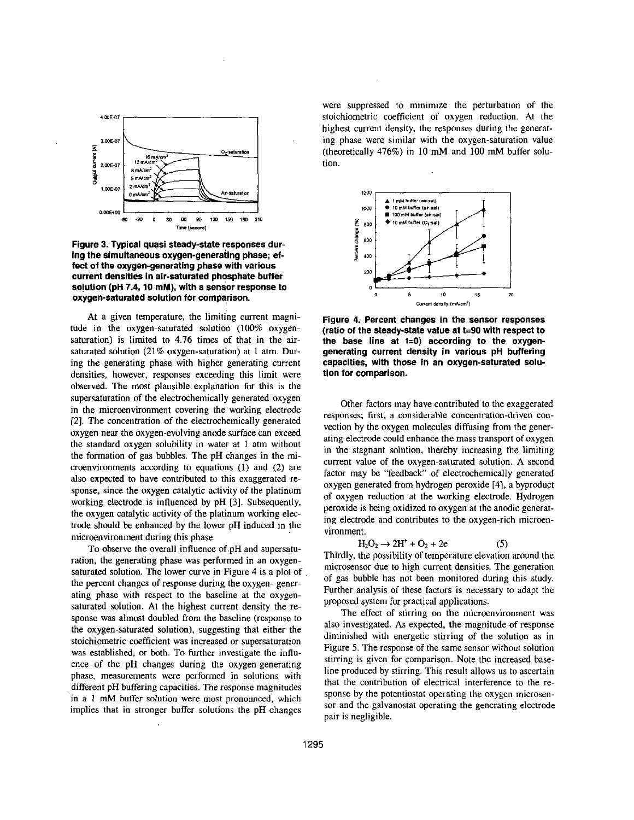<span id="page-3-0"></span>

**Figure 3. Typical quasi steady-state responses during the simultaneous oxygen-generating phase; effect of the oxygen-generating phase with various current densities in air-saturated phosphate buffer**  solution (pH 7.4, 10 mM), with a sensor response to **oxygen-saturated solution for comparison.** 

At a given temperature, the limiting current magnitude in the oxygen-saturated solution (100% oxygensaturation) is limited to **4.76** times of that in the airsaturated solution (21% oxygen-saturation) at **1** atm. **Dur**ing the generating phase with higher generating current densities, however, responses exceeding this limit were observed. The most plausible explanation for this is the supersaturation of the electrochemically generated oxygen in the microenvironment covering the working electrode *[2].* The concentration of the electrochemically generated oxygen near the oxygen-evolving anode surface can exceed the standard oxygen solubility in water at 1 atm without the formation of gas bubbles. The pH changes in the microenvironments according to equations (1) and *(2)* are also expected to have contributed to this exaggerated response, since the oxygen catalytic activity of the platinum working electrode is influenced by pH [3]. Subsequently, the oxygen catalytic activity of the platinum working electrode should be enhanced by the lower pH induced in the microenvironment during this phase.

To observe the overall influence of.pH and supersaturation, the generating phase was performed in an oxygensaturated solution. The lower curve in Figure **4** is a plot of the percent changes of response during the oxygen- generating phase with respect to the baseline at the oxygensaturated solution. At the highest current density the response was almost doubled from the baseline (response to the oxygen-saturated solution), suggesting that either the stoichiometric coefficient was increased or supersaturation was established, or both. To further investigate the influence of the pH changes during the oxygen-generating phase, measurements were performed in solutions with different pH buffering capacities. The response magnitudes in a **1** mM buffer solution were most pronounced, which implies that in stronger buffer solutions the pH changes

were suppressed to minimize the perturbation *of* the stoichiometric coefficient of oxygen reduction. At the highest current density, the responses during the generating phase were similar with the oxygen-saturation value (theoretically **476%)** in 10 mM and 100 mM buffer **solu**tion.



**Figure 4. Percent changes in the sensor responses (ratio of the steady-state value at t=90 with respect to**  the base line at t=0) according to the oxygen**generating current density in various pH buffering capacities, with those in an oxygen-saturated 50111 tion for comparison.** 

Other factors may have contributed to the exaggerated responses; first, a considerable concentration-driven convection by the oxygen molecules diffusing from the generating electrode could enhance the mass transport of oxygen in the stagnant solution, thereby increasing the limiting current value of the oxygen-saturated solution. A second factor may be ''feedback" of electrochemically generated oxygen generated from hydrogen peroxide **[4],** a byproduct of oxygen reduction at the working electrode. Hydrogen peroxide is being oxidized to oxygen at the anodic generating electrode and contributes to the oxygen-rich microenvironment.

$$
H_2O_2 \to 2H^+ + O_2 + 2e^-
$$
 (5)

Thirdly, the possibility of temperature elevation around the microsensor due to high current densities. The generation of gas bubble has not been monitored during this study. Further analysis of these factors is necessary to adapt the proposed system for practical applications.

The effect of stirring on the microenvironment was also investigated. **As** expected, the magnitude of response diminished with energetic stirring of the solution as in Figure **5.** The response of the same sensor without solution stirring is given for comparison. Note the increased baseline produced by stirring. This result allows **us** to ascertain that the contribution of electrical interference to the response by the potentiostat operating the oxygen microsensor and the galvanostat operating the generating electrode pair is negligible.